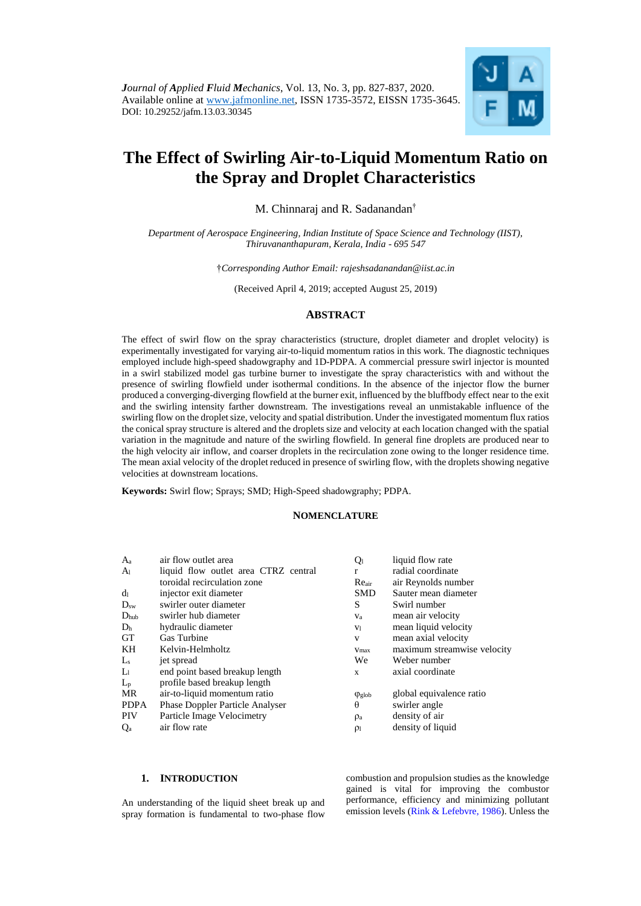

# **The Effect of Swirling Air-to-Liquid Momentum Ratio on the Spray and Droplet Characteristics**

M. Chinnaraj and R. Sadanandan†

*Department of Aerospace Engineering, Indian Institute of Space Science and Technology (IIST), Thiruvananthapuram, Kerala, India - 695 547*

†*Corresponding Author Email: rajeshsadanandan@iist.ac.in*

(Received April 4, 2019; accepted August 25, 2019)

## **ABSTRACT**

The effect of swirl flow on the spray characteristics (structure, droplet diameter and droplet velocity) is experimentally investigated for varying air-to-liquid momentum ratios in this work. The diagnostic techniques employed include high-speed shadowgraphy and 1D-PDPA. A commercial pressure swirl injector is mounted in a swirl stabilized model gas turbine burner to investigate the spray characteristics with and without the presence of swirling flowfield under isothermal conditions. In the absence of the injector flow the burner produced a converging-diverging flowfield at the burner exit, influenced by the bluffbody effect near to the exit and the swirling intensity farther downstream. The investigations reveal an unmistakable influence of the swirling flow on the droplet size, velocity and spatial distribution. Under the investigated momentum flux ratios the conical spray structure is altered and the droplets size and velocity at each location changed with the spatial variation in the magnitude and nature of the swirling flowfield. In general fine droplets are produced near to the high velocity air inflow, and coarser droplets in the recirculation zone owing to the longer residence time. The mean axial velocity of the droplet reduced in presence of swirling flow, with the droplets showing negative velocities at downstream locations.

**Keywords:** Swirl flow; Sprays; SMD; High-Speed shadowgraphy; PDPA.

## **NOMENCLATURE**

| $A_{a}$          | air flow outlet area                   | Qı               | liquid flow rate            |
|------------------|----------------------------------------|------------------|-----------------------------|
| A <sub>1</sub>   | liquid flow outlet area CTRZ central   | r                | radial coordinate           |
|                  | toroidal recirculation zone            | $Re_{air}$       | air Reynolds number         |
| d <sub>1</sub>   | injector exit diameter                 | <b>SMD</b>       | Sauter mean diameter        |
| $D_{sw}$         | swirler outer diameter                 | S                | Swirl number                |
| $D_{\text{hub}}$ | swirler hub diameter                   | $V_a$            | mean air velocity           |
| D <sub>h</sub>   | hydraulic diameter                     | V <sub>1</sub>   | mean liquid velocity        |
| <b>GT</b>        | Gas Turbine                            | V                | mean axial velocity         |
| KH               | Kelvin-Helmholtz                       | $V_{\text{max}}$ | maximum streamwise velocity |
| $L_{s}$          | jet spread                             | We               | Weber number                |
| $L_1$            | end point based breakup length         | X                | axial coordinate            |
| $L_{p}$          | profile based breakup length           |                  |                             |
| MR               | air-to-liquid momentum ratio           | $\phi$ glob      | global equivalence ratio    |
| <b>PDPA</b>      | <b>Phase Doppler Particle Analyser</b> | $\theta$         | swirler angle               |
| <b>PIV</b>       | Particle Image Velocimetry             | $\mathsf{p}_a$   | density of air              |
| Q <sub>a</sub>   | air flow rate                          | $\rho_1$         | density of liquid           |

#### **1. INTRODUCTION**

An understanding of the liquid sheet break up and spray formation is fundamental to two-phase flow

combustion and propulsion studies as the knowledge gained is vital for improving the combustor performance, efficiency and minimizing pollutant emission levels [\(Rink & Lefebvre, 1986\)](#page-10-0). Unless the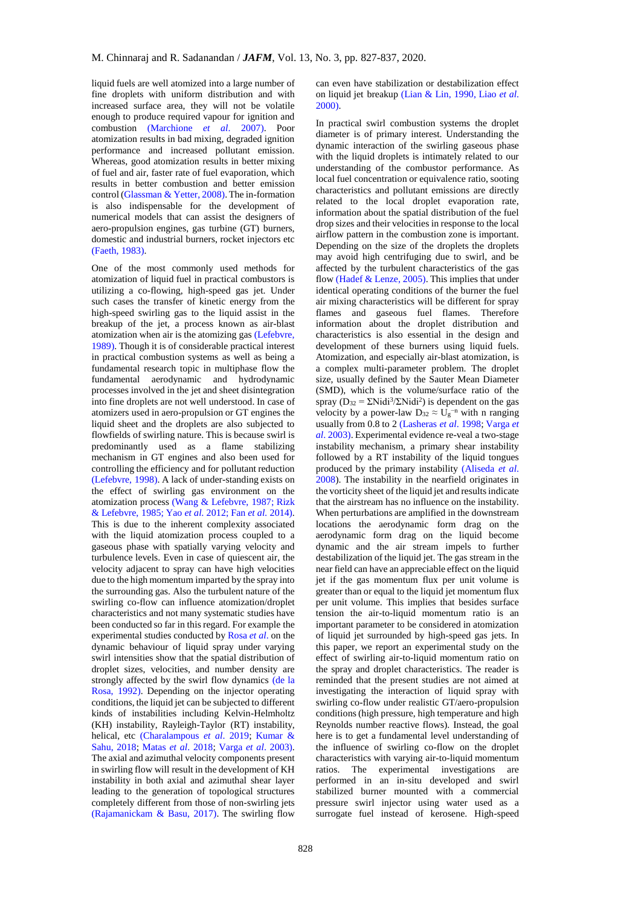liquid fuels are well atomized into a large number of fine droplets with uniform distribution and with increased surface area, they will not be volatile enough to produce required vapour for ignition and combustion [\(Marchione](#page-10-1) *et al*. 2007). Poor atomization results in bad mixing, degraded ignition performance and increased pollutant emission. Whereas, good atomization results in better mixing of fuel and air, faster rate of fuel evaporation, which results in better combustion and better emission control [\(Glassman & Yetter, 2008\).](#page-10-2) The in-formation is also indispensable for the development of numerical models that can assist the designers of aero-propulsion engines, gas turbine (GT) burners, domestic and industrial burners, rocket injectors etc [\(Faeth, 1983\).](#page-10-3)

One of the most commonly used methods for atomization of liquid fuel in practical combustors is utilizing a co-flowing, high-speed gas jet. Under such cases the transfer of kinetic energy from the high-speed swirling gas to the liquid assist in the breakup of the jet, a process known as air-blast atomization when air is the atomizing gas [\(Lefebvre,](#page-10-4)  [1989\).](#page-10-4) Though it is of considerable practical interest in practical combustion systems as well as being a fundamental research topic in multiphase flow the fundamental aerodynamic and hydrodynamic processes involved in the jet and sheet disintegration into fine droplets are not well understood. In case of atomizers used in aero-propulsion or GT engines the liquid sheet and the droplets are also subjected to flowfields of swirling nature. This is because swirl is predominantly used as a flame stabilizing mechanism in GT engines and also been used for controlling the efficiency and for pollutant reduction [\(Lefebvre, 1998\).](#page-10-5) A lack of under-standing exists on the effect of swirling gas environment on the atomization process [\(Wang & Lefebvre, 1987;](#page-10-6) [Rizk](#page-10-7)  [& Lefebvre, 1985;](#page-10-7) Yao *et al.* [2012;](#page-10-8) Fan *et al.* [2014\).](#page-10-9)  This is due to the inherent complexity associated with the liquid atomization process coupled to a gaseous phase with spatially varying velocity and turbulence levels. Even in case of quiescent air, the velocity adjacent to spray can have high velocities due to the high momentum imparted by the spray into the surrounding gas. Also the turbulent nature of the swirling co-flow can influence atomization/droplet characteristics and not many systematic studies have been conducted so far in this regard. For example the experimental studies conducted b[y Rosa](#page-10-10) *et al*. on the dynamic behaviour of liquid spray under varying swirl intensities show that the spatial distribution of droplet sizes, velocities, and number density are strongly affected by the swirl flow dynamics [\(de la](#page-10-10)  [Rosa, 1992\).](#page-10-10) Depending on the injector operating conditions, the liquid jet can be subjected to different kinds of instabilities including Kelvin-Helmholtz (KH) instability, Rayleigh-Taylor (RT) instability, helical, etc [\(Charalampous](#page-10-11) *et al*. 2019; [Kumar &](#page-10-12)  [Sahu, 2018;](#page-10-12) Matas *et al*[. 2018;](#page-10-13) Varga *et al*[. 2003\).](#page-10-14)  The axial and azimuthal velocity components present in swirling flow will result in the development of KH instability in both axial and azimuthal shear layer leading to the generation of topological structures completely different from those of non-swirling jets [\(Rajamanickam & Basu, 2017\).](#page-10-15) The swirling flow

can even have stabilization or destabilization effect on liquid jet breakup [\(Lian & Lin, 1990,](#page-10-16) [Liao](#page-10-17) *et al*. [2000\).](#page-10-17)

In practical swirl combustion systems the droplet diameter is of primary interest. Understanding the dynamic interaction of the swirling gaseous phase with the liquid droplets is intimately related to our understanding of the combustor performance. As local fuel concentration or equivalence ratio, sooting characteristics and pollutant emissions are directly related to the local droplet evaporation rate, information about the spatial distribution of the fuel drop sizes and their velocities in response to the local airflow pattern in the combustion zone is important. Depending on the size of the droplets the droplets may avoid high centrifuging due to swirl, and be affected by the turbulent characteristics of the gas flow [\(Hadef & Lenze, 2005\).](#page-10-18) This implies that under identical operating conditions of the burner the fuel air mixing characteristics will be different for spray flames and gaseous fuel flames. Therefore information about the droplet distribution and characteristics is also essential in the design and development of these burners using liquid fuels. Atomization, and especially air-blast atomization, is a complex multi-parameter problem. The droplet size, usually defined by the Sauter Mean Diameter (SMD), which is the volume/surface ratio of the spray ( $D_{32} = \Sigma \text{Nidi}^3/\Sigma \text{Nidi}^2$ ) is dependent on the gas velocity by a power-law  $D_{32} \approx U_g^{-n}$  with n ranging usually from 0.8 to 2 [\(Lasheras](#page-10-19) *et al*. 1998; [Varga](#page-10-14) *et al*[. 2003\).](#page-10-14) Experimental evidence re-veal a two-stage instability mechanism, a primary shear instability followed by a RT instability of the liquid tongues produced by the primary instability [\(Aliseda](#page-10-20) *et al*. [2008\).](#page-10-20) The instability in the nearfield originates in the vorticity sheet of the liquid jet and results indicate that the airstream has no influence on the instability. When perturbations are amplified in the downstream locations the aerodynamic form drag on the aerodynamic form drag on the liquid become dynamic and the air stream impels to further destabilization of the liquid jet. The gas stream in the near field can have an appreciable effect on the liquid jet if the gas momentum flux per unit volume is greater than or equal to the liquid jet momentum flux per unit volume. This implies that besides surface tension the air-to-liquid momentum ratio is an important parameter to be considered in atomization of liquid jet surrounded by high-speed gas jets. In this paper, we report an experimental study on the effect of swirling air-to-liquid momentum ratio on the spray and droplet characteristics. The reader is reminded that the present studies are not aimed at investigating the interaction of liquid spray with swirling co-flow under realistic GT/aero-propulsion conditions (high pressure, high temperature and high Reynolds number reactive flows). Instead, the goal here is to get a fundamental level understanding of the influence of swirling co-flow on the droplet characteristics with varying air-to-liquid momentum ratios. The experimental investigations are performed in an in-situ developed and swirl stabilized burner mounted with a commercial pressure swirl injector using water used as a surrogate fuel instead of kerosene. High-speed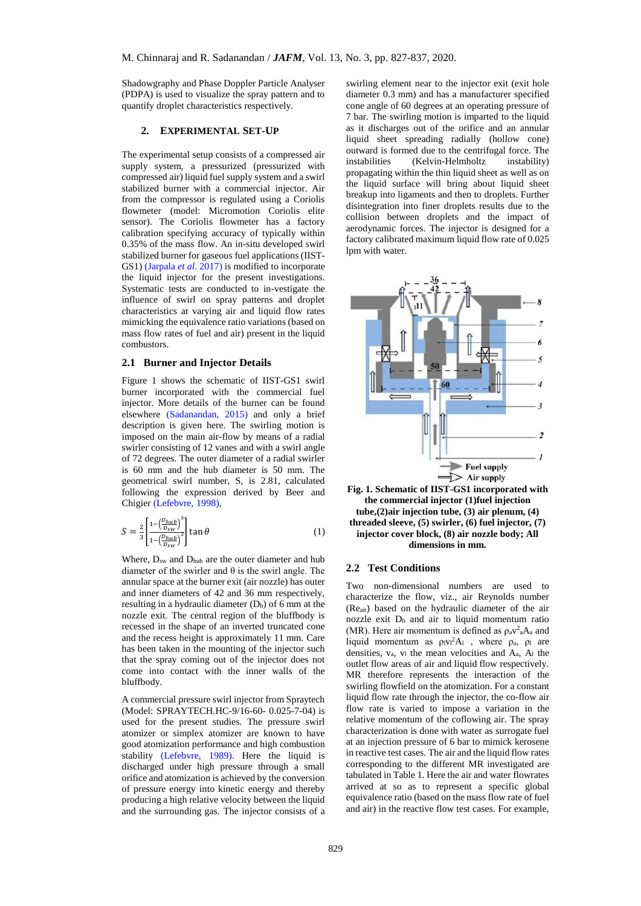Shadowgraphy and Phase Doppler Particle Analyser (PDPA) is used to visualize the spray pattern and to quantify droplet characteristics respectively.

## **2. EXPERIMENTAL SET-UP**

The experimental setup consists of a compressed air supply system, a pressurized (pressurized with compressed air) liquid fuel supply system and a swirl stabilized burner with a commercial injector. Air from the compressor is regulated using a Coriolis flowmeter (model: Micromotion Coriolis elite sensor). The Coriolis flowmeter has a factory calibration specifying accuracy of typically within 0.35% of the mass flow. An in-situ developed swirl stabilized burner for gaseous fuel applications (IIST-GS1) [\(Jarpala](#page-10-21) *et al*. 2017) is modified to incorporate the liquid injector for the present investigations. Systematic tests are conducted to in-vestigate the influence of swirl on spray patterns and droplet characteristics at varying air and liquid flow rates mimicking the equivalence ratio variations (based on mass flow rates of fuel and air) present in the liquid combustors.

#### **2.1 Burner and Injector Details**

Figure 1 shows the schematic of IIST-GS1 swirl burner incorporated with the commercial fuel injector. More details of the burner can be found elsewhere [\(Sadanandan, 2015\)](#page-10-22) and only a brief description is given here. The swirling motion is imposed on the main air-flow by means of a radial swirler consisting of 12 vanes and with a swirl angle of 72 degrees. The outer diameter of a radial swirler is 60 mm and the hub diameter is 50 mm. The geometrical swirl number, S, is 2.81, calculated following the expression derived by Beer and Chigier [\(Lefebvre, 1998\),](#page-10-5)

$$
S = \frac{2}{3} \left[ \frac{1 - \left( \frac{D_{hub}}{D_{sw}} \right)^3}{1 - \left( \frac{D_{hub}}{D_{sw}} \right)^2} \right] \tan \theta \tag{1}
$$

Where,  $D_{sw}$  and  $D_{hub}$  are the outer diameter and hub diameter of the swirler and  $\theta$  is the swirl angle. The annular space at the burner exit (air nozzle) has outer and inner diameters of 42 and 36 mm respectively, resulting in a hydraulic diameter  $(D_h)$  of 6 mm at the nozzle exit. The central region of the bluffbody is recessed in the shape of an inverted truncated cone and the recess height is approximately 11 mm. Care has been taken in the mounting of the injector such that the spray coming out of the injector does not come into contact with the inner walls of the bluffbody.

A commercial pressure swirl injector from Spraytech (Model: SPRAYTECH.HC-9/16-60- 0.025-7-04) is used for the present studies. The pressure swirl atomizer or simplex atomizer are known to have good atomization performance and high combustion stability [\(Lefebvre, 1989\).](#page-10-5) Here the liquid is discharged under high pressure through a small orifice and atomization is achieved by the conversion of pressure energy into kinetic energy and thereby producing a high relative velocity between the liquid and the surrounding gas. The injector consists of a swirling element near to the injector exit (exit hole diameter 0.3 mm) and has a manufacturer specified cone angle of 60 degrees at an operating pressure of 7 bar. The swirling motion is imparted to the liquid as it discharges out of the orifice and an annular liquid sheet spreading radially (hollow cone) outward is formed due to the centrifugal force. The instabilities (Kelvin-Helmholtz instability) propagating within the thin liquid sheet as well as on the liquid surface will bring about liquid sheet breakup into ligaments and then to droplets. Further disintegration into finer droplets results due to the collision between droplets and the impact of aerodynamic forces. The injector is designed for a factory calibrated maximum liquid flow rate of 0.025 lpm with water.



**Fig. 1. Schematic of IIST-GS1 incorporated with the commercial injector (1)fuel injection tube,(2)air injection tube, (3) air plenum, (4) threaded sleeve, (5) swirler, (6) fuel injector, (7) injector cover block, (8) air nozzle body; All dimensions in mm.**

#### **2.2 Test Conditions**

Two non-dimensional numbers are used to characterize the flow, viz., air Reynolds number (Reair) based on the hydraulic diameter of the air nozzle exit  $D_h$  and air to liquid momentum ratio (MR). Here air momentum is defined as  $\rho_a v^2 a A_a$  and liquid momentum as  $\rho_1 v_1^2 A_1$ , where  $\rho_a$ ,  $\rho_1$  are densities,  $v_a$ ,  $v_l$  the mean velocities and  $A_a$ ,  $A_l$  the outlet flow areas of air and liquid flow respectively. MR therefore represents the interaction of the swirling flowfield on the atomization. For a constant liquid flow rate through the injector, the co-flow air flow rate is varied to impose a variation in the relative momentum of the coflowing air. The spray characterization is done with water as surrogate fuel at an injection pressure of 6 bar to mimick kerosene in reactive test cases. The air and the liquid flow rates corresponding to the different MR investigated are tabulated in Table 1. Here the air and water flowrates arrived at so as to represent a specific global equivalence ratio (based on the mass flow rate of fuel and air) in the reactive flow test cases. For example,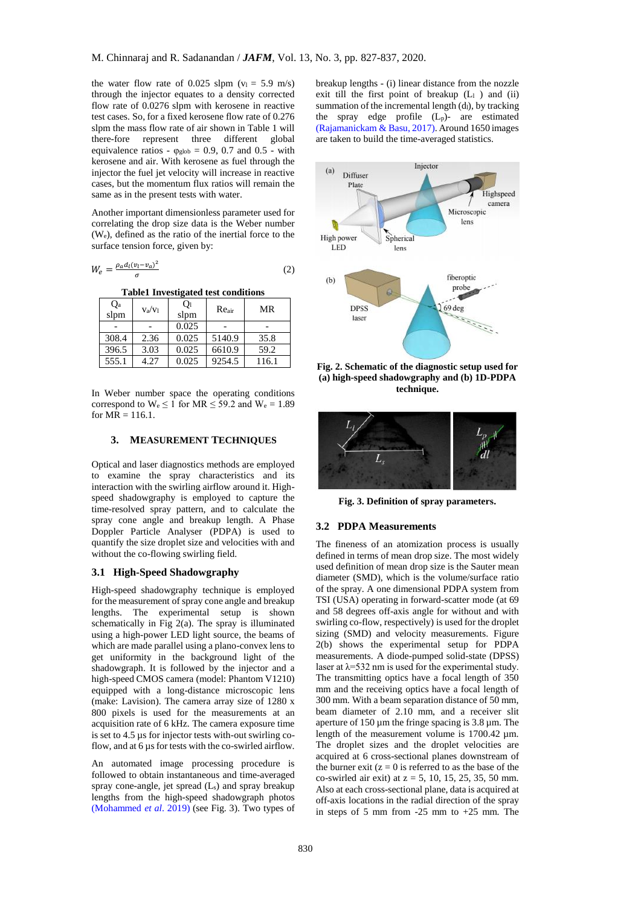the water flow rate of 0.025 slpm  $(v_1 = 5.9 \text{ m/s})$ through the injector equates to a density corrected flow rate of 0.0276 slpm with kerosene in reactive test cases. So, for a fixed kerosene flow rate of 0.276 slpm the mass flow rate of air shown in Table 1 will<br>there-fore represent three different global there-fore represent three different equivalence ratios -  $\varphi_{\text{glob}} = 0.9, 0.7$  and  $0.5$  - with kerosene and air. With kerosene as fuel through the injector the fuel jet velocity will increase in reactive cases, but the momentum flux ratios will remain the same as in the present tests with water.

Another important dimensionless parameter used for correlating the drop size data is the Weber number (We), defined as the ratio of the inertial force to the surface tension force, given by:

$$
W_e = \frac{\rho_a d_l (v_l - v_a)^2}{\sigma} \tag{2}
$$

**Table1 Investigated test conditions**

| $Q_{a}$<br>slpm | $v_a/v_l$ | Qı<br>slpm | Reair  | MR    |
|-----------------|-----------|------------|--------|-------|
|                 |           | 0.025      |        |       |
| 308.4           | 2.36      | 0.025      | 5140.9 | 35.8  |
| 396.5           | 3.03      | 0.025      | 6610.9 | 59.2  |
| 555.1           | 4.27      | 0.025      | 9254.5 | 116.1 |

In Weber number space the operating conditions correspond to  $W_e \le 1$  for  $MR \le 59.2$  and  $W_e = 1.89$ for  $MR = 116.1$ .

## **3. MEASUREMENT TECHNIQUES**

Optical and laser diagnostics methods are employed to examine the spray characteristics and its interaction with the swirling airflow around it. Highspeed shadowgraphy is employed to capture the time-resolved spray pattern, and to calculate the spray cone angle and breakup length. A Phase Doppler Particle Analyser (PDPA) is used to quantify the size droplet size and velocities with and without the co-flowing swirling field.

# **3.1 High-Speed Shadowgraphy**

High-speed shadowgraphy technique is employed for the measurement of spray cone angle and breakup lengths. The experimental setup is shown schematically in Fig 2(a). The spray is illuminated using a high-power LED light source, the beams of which are made parallel using a plano-convex lens to get uniformity in the background light of the shadowgraph. It is followed by the injector and a high-speed CMOS camera (model: Phantom V1210) equipped with a long-distance microscopic lens (make: Lavision). The camera array size of 1280 x 800 pixels is used for the measurements at an acquisition rate of 6 kHz. The camera exposure time is set to 4.5 µs for injector tests with-out swirling coflow, and at 6 µs for tests with the co-swirled airflow.

An automated image processing procedure is followed to obtain instantaneous and time-averaged spray cone-angle, jet spread  $(L_s)$  and spray breakup lengths from the high-speed shadowgraph photos [\(Mohammed](#page-10-23) *et al*. 2019) (see Fig. 3). Two types of breakup lengths - (i) linear distance from the nozzle exit till the first point of breakup  $(L_1)$  and  $(ii)$ summation of the incremental length  $(d<sub>l</sub>)$ , by tracking the spray edge profile  $(L_p)$ - are estimated [\(Rajamanickam & Basu, 2017\).](#page-10-15) Around 1650 images are taken to build the time-averaged statistics.



**Fig. 2. Schematic of the diagnostic setup used for (a) high-speed shadowgraphy and (b) 1D-PDPA technique.**



**Fig. 3. Definition of spray parameters.**

## **3.2 PDPA Measurements**

The fineness of an atomization process is usually defined in terms of mean drop size. The most widely used definition of mean drop size is the Sauter mean diameter (SMD), which is the volume/surface ratio of the spray. A one dimensional PDPA system from TSI (USA) operating in forward-scatter mode (at 69 and 58 degrees off-axis angle for without and with swirling co-flow, respectively) is used for the droplet sizing (SMD) and velocity measurements. Figure 2(b) shows the experimental setup for PDPA measurements. A diode-pumped solid-state (DPSS) laser at  $\lambda$ =532 nm is used for the experimental study. The transmitting optics have a focal length of 350 mm and the receiving optics have a focal length of 300 mm. With a beam separation distance of 50 mm, beam diameter of 2.10 mm, and a receiver slit aperture of 150  $\mu$ m the fringe spacing is 3.8  $\mu$ m. The length of the measurement volume is 1700.42 µm. The droplet sizes and the droplet velocities are acquired at 6 cross-sectional planes downstream of the burner exit  $(z = 0$  is referred to as the base of the co-swirled air exit) at  $z = 5$ , 10, 15, 25, 35, 50 mm. Also at each cross-sectional plane, data is acquired at off-axis locations in the radial direction of the spray in steps of 5 mm from -25 mm to +25 mm. The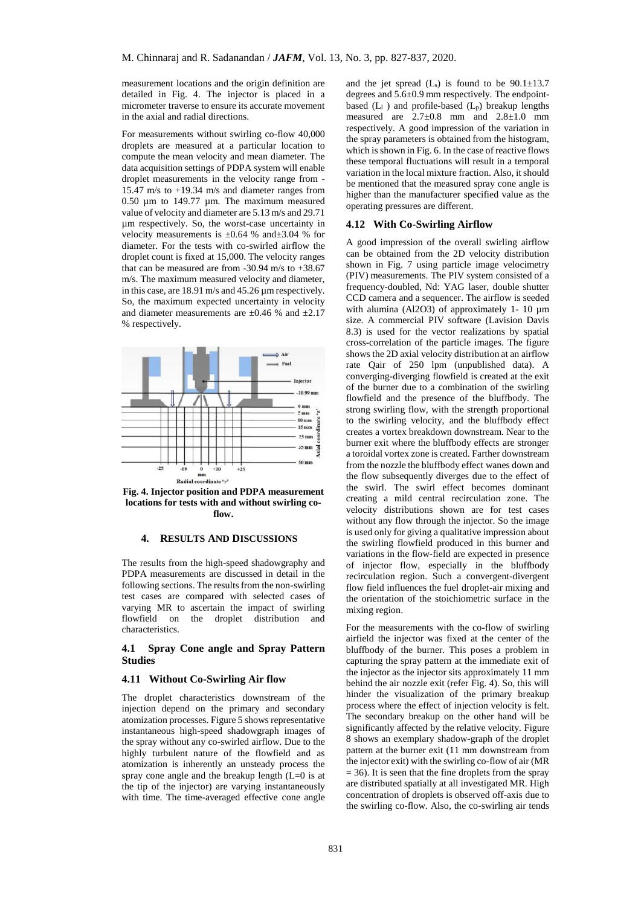measurement locations and the origin definition are detailed in Fig. 4. The injector is placed in a micrometer traverse to ensure its accurate movement in the axial and radial directions.

For measurements without swirling co-flow 40,000 droplets are measured at a particular location to compute the mean velocity and mean diameter. The data acquisition settings of PDPA system will enable droplet measurements in the velocity range from - 15.47 m/s to +19.34 m/s and diameter ranges from 0.50 µm to 149.77 µm. The maximum measured value of velocity and diameter are 5.13 m/s and 29.71 µm respectively. So, the worst-case uncertainty in velocity measurements is  $\pm 0.64$  % and $\pm 3.04$  % for diameter. For the tests with co-swirled airflow the droplet count is fixed at 15,000. The velocity ranges that can be measured are from  $-30.94$  m/s to  $+38.67$ m/s. The maximum measured velocity and diameter, in this case, are 18.91 m/s and 45.26 µm respectively. So, the maximum expected uncertainty in velocity and diameter measurements are  $\pm 0.46$  % and  $\pm 2.17$ % respectively.



**Fig. 4. Injector position and PDPA measurement locations for tests with and without swirling coflow.**

# **4. RESULTS AND DISCUSSIONS**

The results from the high-speed shadowgraphy and PDPA measurements are discussed in detail in the following sections. The results from the non-swirling test cases are compared with selected cases of varying MR to ascertain the impact of swirling flowfield on the droplet distribution and characteristics.

## **4.1 Spray Cone angle and Spray Pattern Studies**

## **4.11 Without Co-Swirling Air flow**

The droplet characteristics downstream of the injection depend on the primary and secondary atomization processes. Figure 5 shows representative instantaneous high-speed shadowgraph images of the spray without any co-swirled airflow. Due to the highly turbulent nature of the flowfield and as atomization is inherently an unsteady process the spray cone angle and the breakup length  $(L=0)$  is at the tip of the injector) are varying instantaneously with time. The time-averaged effective cone angle

and the jet spread  $(L_s)$  is found to be  $90.1 \pm 13.7$ degrees and 5.6±0.9 mm respectively. The endpointbased  $(L_1)$  and profile-based  $(L_p)$  breakup lengths measured are  $2.7\pm0.8$  mm and  $2.8\pm1.0$  mm respectively. A good impression of the variation in the spray parameters is obtained from the histogram, which is shown in Fig. 6. In the case of reactive flows these temporal fluctuations will result in a temporal variation in the local mixture fraction. Also, it should be mentioned that the measured spray cone angle is higher than the manufacturer specified value as the operating pressures are different.

## **4.12 With Co-Swirling Airflow**

A good impression of the overall swirling airflow can be obtained from the 2D velocity distribution shown in Fig. 7 using particle image velocimetry (PIV) measurements. The PIV system consisted of a frequency-doubled, Nd: YAG laser, double shutter CCD camera and a sequencer. The airflow is seeded with alumina (Al2O3) of approximately 1- 10  $\mu$ m size. A commercial PIV software (Lavision Davis 8.3) is used for the vector realizations by spatial cross-correlation of the particle images. The figure shows the 2D axial velocity distribution at an airflow rate Qair of 250 lpm (unpublished data). A converging-diverging flowfield is created at the exit of the burner due to a combination of the swirling flowfield and the presence of the bluffbody. The strong swirling flow, with the strength proportional to the swirling velocity, and the bluffbody effect creates a vortex breakdown downstream. Near to the burner exit where the bluffbody effects are stronger a toroidal vortex zone is created. Farther downstream from the nozzle the bluffbody effect wanes down and the flow subsequently diverges due to the effect of the swirl. The swirl effect becomes dominant creating a mild central recirculation zone. The velocity distributions shown are for test cases without any flow through the injector. So the image is used only for giving a qualitative impression about the swirling flowfield produced in this burner and variations in the flow-field are expected in presence of injector flow, especially in the bluffbody recirculation region. Such a convergent-divergent flow field influences the fuel droplet-air mixing and the orientation of the stoichiometric surface in the mixing region.

For the measurements with the co-flow of swirling airfield the injector was fixed at the center of the bluffbody of the burner. This poses a problem in capturing the spray pattern at the immediate exit of the injector as the injector sits approximately 11 mm behind the air nozzle exit (refer Fig. 4). So, this will hinder the visualization of the primary breakup process where the effect of injection velocity is felt. The secondary breakup on the other hand will be significantly affected by the relative velocity. Figure 8 shows an exemplary shadow-graph of the droplet pattern at the burner exit (11 mm downstream from the injector exit) with the swirling co-flow of air (MR  $= 36$ ). It is seen that the fine droplets from the spray are distributed spatially at all investigated MR. High concentration of droplets is observed off-axis due to the swirling co-flow. Also, the co-swirling air tends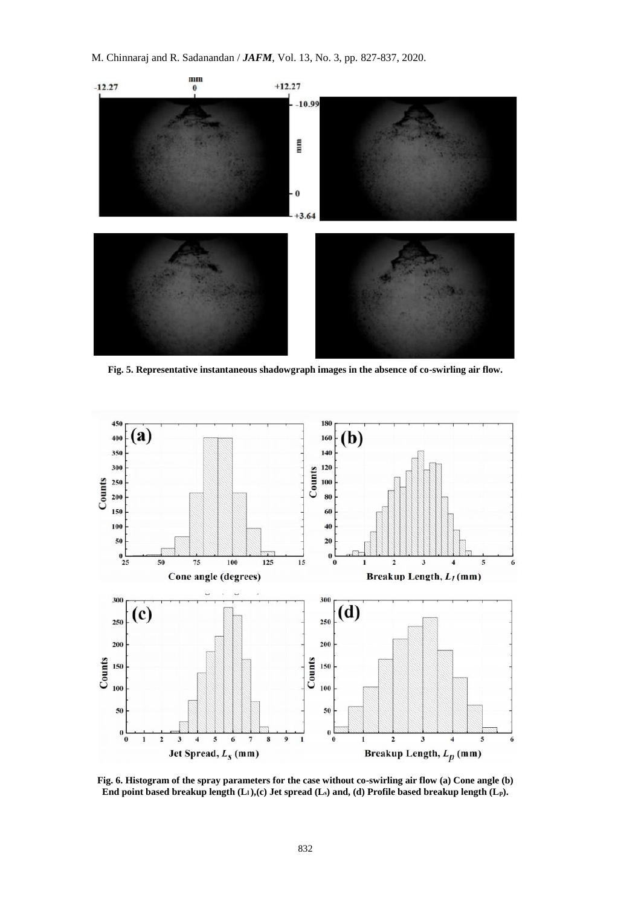

**Fig. 5. Representative instantaneous shadowgraph images in the absence of co-swirling air flow.**



**Fig. 6. Histogram of the spray parameters for the case without co-swirling air flow (a) Cone angle (b) End point based breakup length (Ll ),(c) Jet spread (Ls) and, (d) Profile based breakup length (Lp).**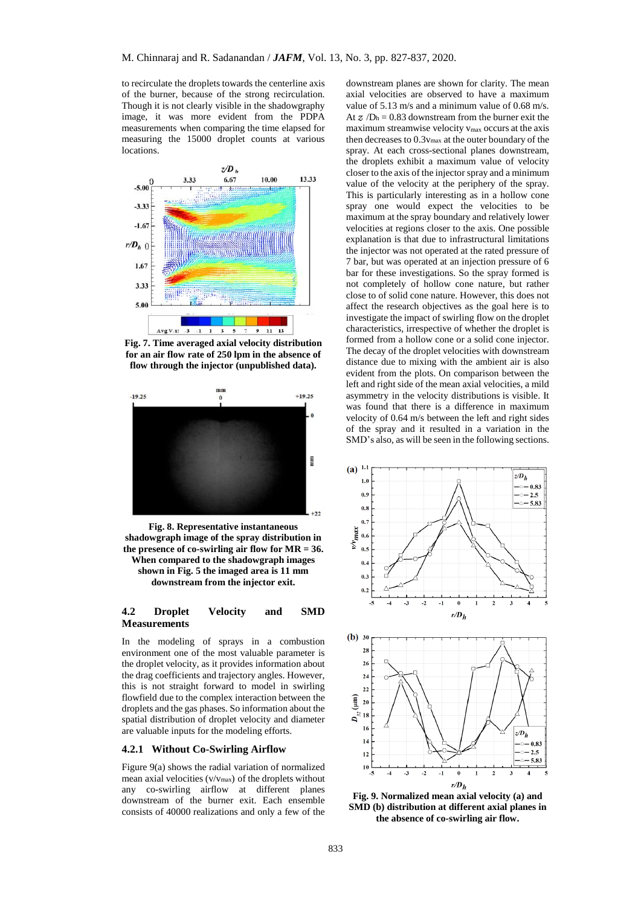to recirculate the droplets towards the centerline axis of the burner, because of the strong recirculation. Though it is not clearly visible in the shadowgraphy image, it was more evident from the PDPA measurements when comparing the time elapsed for measuring the 15000 droplet counts at various locations.



**Fig. 7. Time averaged axial velocity distribution for an air flow rate of 250 lpm in the absence of flow through the injector (unpublished data).**



**Fig. 8. Representative instantaneous shadowgraph image of the spray distribution in the presence of co-swirling air flow for MR = 36. When compared to the shadowgraph images shown in Fig. 5 the imaged area is 11 mm downstream from the injector exit.**

## **4.2 Droplet Velocity and SMD Measurements**

In the modeling of sprays in a combustion environment one of the most valuable parameter is the droplet velocity, as it provides information about the drag coefficients and trajectory angles. However, this is not straight forward to model in swirling flowfield due to the complex interaction between the droplets and the gas phases. So information about the spatial distribution of droplet velocity and diameter are valuable inputs for the modeling efforts.

## **4.2.1 Without Co-Swirling Airflow**

Figure 9(a) shows the radial variation of normalized mean axial velocities (v/vmax) of the droplets without any co-swirling airflow at different planes downstream of the burner exit. Each ensemble consists of 40000 realizations and only a few of the

downstream planes are shown for clarity. The mean axial velocities are observed to have a maximum value of 5.13 m/s and a minimum value of 0.68 m/s. At  $\alpha$  /D<sub>h</sub> = 0.83 downstream from the burner exit the maximum streamwise velocity vmax occurs at the axis then decreases to  $0.3v_{\text{max}}$  at the outer boundary of the spray. At each cross-sectional planes downstream, the droplets exhibit a maximum value of velocity closer to the axis of the injector spray and a minimum value of the velocity at the periphery of the spray. This is particularly interesting as in a hollow cone spray one would expect the velocities to be maximum at the spray boundary and relatively lower velocities at regions closer to the axis. One possible explanation is that due to infrastructural limitations the injector was not operated at the rated pressure of 7 bar, but was operated at an injection pressure of 6 bar for these investigations. So the spray formed is not completely of hollow cone nature, but rather close to of solid cone nature. However, this does not affect the research objectives as the goal here is to investigate the impact of swirling flow on the droplet characteristics, irrespective of whether the droplet is formed from a hollow cone or a solid cone injector. The decay of the droplet velocities with downstream distance due to mixing with the ambient air is also evident from the plots. On comparison between the left and right side of the mean axial velocities, a mild asymmetry in the velocity distributions is visible. It was found that there is a difference in maximum velocity of 0.64 m/s between the left and right sides of the spray and it resulted in a variation in the SMD's also, as will be seen in the following sections.





**Fig. 9. Normalized mean axial velocity (a) and SMD (b) distribution at different axial planes in the absence of co-swirling air flow.**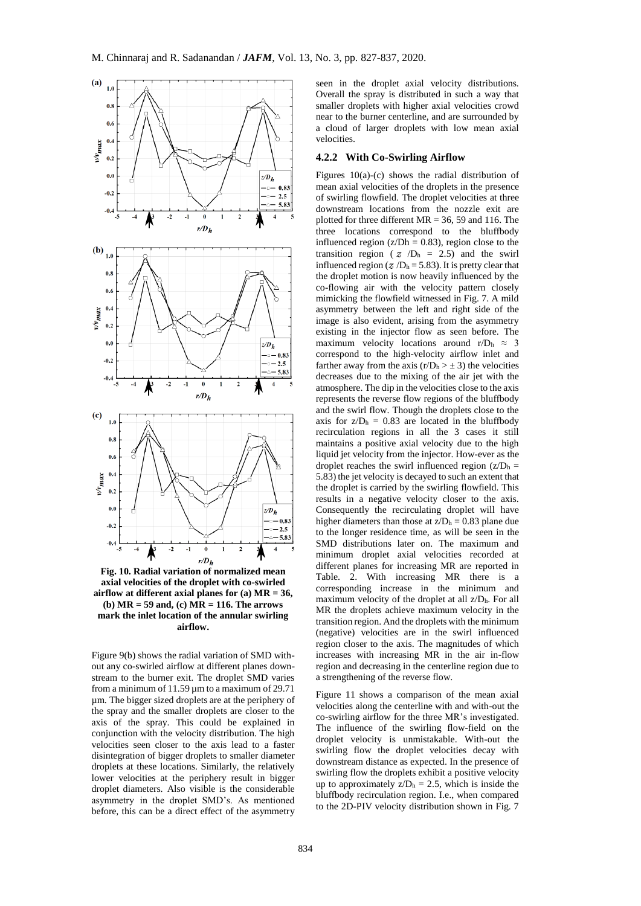

**Fig. 10. Radial variation of normalized mean axial velocities of the droplet with co-swirled airflow at different axial planes for (a) MR = 36, (b) MR = 59 and, (c) MR = 116. The arrows mark the inlet location of the annular swirling airflow.**

Figure 9(b) shows the radial variation of SMD without any co-swirled airflow at different planes downstream to the burner exit. The droplet SMD varies from a minimum of  $11.59 \mu$ m to a maximum of 29.71 µm. The bigger sized droplets are at the periphery of the spray and the smaller droplets are closer to the axis of the spray. This could be explained in conjunction with the velocity distribution. The high velocities seen closer to the axis lead to a faster disintegration of bigger droplets to smaller diameter droplets at these locations. Similarly, the relatively lower velocities at the periphery result in bigger droplet diameters. Also visible is the considerable asymmetry in the droplet SMD's. As mentioned before, this can be a direct effect of the asymmetry

seen in the droplet axial velocity distributions. Overall the spray is distributed in such a way that smaller droplets with higher axial velocities crowd near to the burner centerline, and are surrounded by a cloud of larger droplets with low mean axial velocities.

## **4.2.2 With Co-Swirling Airflow**

Figures 10(a)-(c) shows the radial distribution of mean axial velocities of the droplets in the presence of swirling flowfield. The droplet velocities at three downstream locations from the nozzle exit are plotted for three different  $MR = 36$ , 59 and 116. The three locations correspond to the bluffbody influenced region ( $z/Dh = 0.83$ ), region close to the transition region (  $z/D<sub>h</sub> = 2.5$ ) and the swirl influenced region ( $Z / D<sub>h</sub> = 5.83$ ). It is pretty clear that the droplet motion is now heavily influenced by the co-flowing air with the velocity pattern closely mimicking the flowfield witnessed in Fig. 7. A mild asymmetry between the left and right side of the image is also evident, arising from the asymmetry existing in the injector flow as seen before. The maximum velocity locations around r/D<sub>h</sub>  $\approx$  3 correspond to the high-velocity airflow inlet and farther away from the axis  $(r/D<sub>h</sub> > ± 3)$  the velocities decreases due to the mixing of the air jet with the atmosphere. The dip in the velocities close to the axis represents the reverse flow regions of the bluffbody and the swirl flow. Though the droplets close to the axis for  $z/D<sub>h</sub> = 0.83$  are located in the bluffbody recirculation regions in all the 3 cases it still maintains a positive axial velocity due to the high liquid jet velocity from the injector. How-ever as the droplet reaches the swirl influenced region  $(z/D<sub>h</sub> =$ 5.83) the jet velocity is decayed to such an extent that the droplet is carried by the swirling flowfield. This results in a negative velocity closer to the axis. Consequently the recirculating droplet will have higher diameters than those at  $z/D<sub>h</sub> = 0.83$  plane due to the longer residence time, as will be seen in the SMD distributions later on. The maximum and minimum droplet axial velocities recorded at different planes for increasing MR are reported in Table. 2. With increasing MR there is a corresponding increase in the minimum and maximum velocity of the droplet at all z/Dh. For all MR the droplets achieve maximum velocity in the transition region. And the droplets with the minimum (negative) velocities are in the swirl influenced region closer to the axis. The magnitudes of which increases with increasing MR in the air in-flow region and decreasing in the centerline region due to a strengthening of the reverse flow.

Figure 11 shows a comparison of the mean axial velocities along the centerline with and with-out the co-swirling airflow for the three MR's investigated. The influence of the swirling flow-field on the droplet velocity is unmistakable. With-out the swirling flow the droplet velocities decay with downstream distance as expected. In the presence of swirling flow the droplets exhibit a positive velocity up to approximately  $z/D<sub>h</sub> = 2.5$ , which is inside the bluffbody recirculation region. I.e., when compared to the 2D-PIV velocity distribution shown in Fig. 7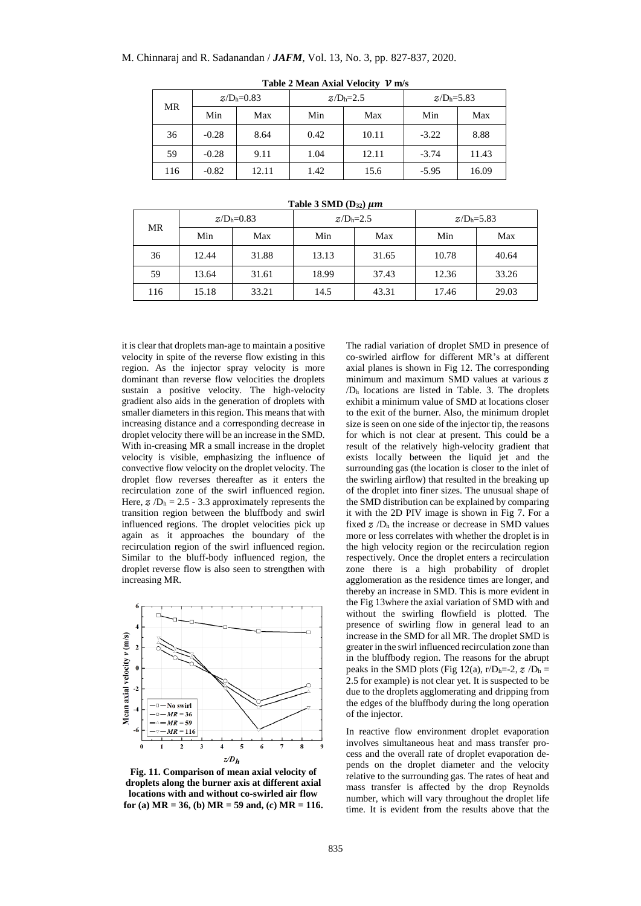## M. Chinnaraj and R. Sadanandan / *JAFM*, Vol. 13, No. 3, pp. 827-837, 2020.

|  | MR  | $Z/Dh=0.83$ |       | $Z/Dh=2.5$ |       | $Z/Dh=5.83$ |       |  |
|--|-----|-------------|-------|------------|-------|-------------|-------|--|
|  |     | Min         | Max   | Min        | Max   | Min         | Max   |  |
|  | 36  | $-0.28$     | 8.64  | 0.42       | 10.11 | $-3.22$     | 8.88  |  |
|  | 59  | $-0.28$     | 9.11  | 1.04       | 12.11 | $-3.74$     | 11.43 |  |
|  | 116 | $-0.82$     | 12.11 | 1.42       | 15.6  | $-5.95$     | 16.09 |  |

**Table 2 Mean Axial Velocity m/s**

|  | Table 3 SMD $(D_{32}) \mu m$ |  |
|--|------------------------------|--|
|  |                              |  |

| MR  | $Z/Dh=0.83$ |       | $Z/Dh=2.5$ |       | $Z/Dh=5.83$ |       |
|-----|-------------|-------|------------|-------|-------------|-------|
|     | Min         | Max   | Min        | Max   | Min         | Max   |
| 36  | 12.44       | 31.88 | 13.13      | 31.65 | 10.78       | 40.64 |
| 59  | 13.64       | 31.61 | 18.99      | 37.43 | 12.36       | 33.26 |
| 116 | 15.18       | 33.21 | 14.5       | 43.31 | 17.46       | 29.03 |

it is clear that droplets man-age to maintain a positive velocity in spite of the reverse flow existing in this region. As the injector spray velocity is more dominant than reverse flow velocities the droplets sustain a positive velocity. The high-velocity gradient also aids in the generation of droplets with smaller diameters in this region. This means that with increasing distance and a corresponding decrease in droplet velocity there will be an increase in the SMD. With in-creasing MR a small increase in the droplet velocity is visible, emphasizing the influence of convective flow velocity on the droplet velocity. The droplet flow reverses thereafter as it enters the recirculation zone of the swirl influenced region. Here,  $Z/D<sub>h</sub> = 2.5 - 3.3$  approximately represents the transition region between the bluffbody and swirl influenced regions. The droplet velocities pick up again as it approaches the boundary of the recirculation region of the swirl influenced region. Similar to the bluff-body influenced region, the droplet reverse flow is also seen to strengthen with increasing MR.



**Fig. 11. Comparison of mean axial velocity of droplets along the burner axis at different axial locations with and without co-swirled air flow for (a) MR = 36, (b) MR = 59 and, (c) MR = 116.**

The radial variation of droplet SMD in presence of co-swirled airflow for different MR's at different axial planes is shown in Fig 12. The corresponding minimum and maximum SMD values at various  $z$ /D<sup>h</sup> locations are listed in Table. 3. The droplets exhibit a minimum value of SMD at locations closer to the exit of the burner. Also, the minimum droplet size is seen on one side of the injector tip, the reasons for which is not clear at present. This could be a result of the relatively high-velocity gradient that exists locally between the liquid jet and the surrounding gas (the location is closer to the inlet of the swirling airflow) that resulted in the breaking up of the droplet into finer sizes. The unusual shape of the SMD distribution can be explained by comparing it with the 2D PIV image is shown in Fig 7. For a fixed  $z/D<sub>h</sub>$  the increase or decrease in SMD values more or less correlates with whether the droplet is in the high velocity region or the recirculation region respectively. Once the droplet enters a recirculation zone there is a high probability of droplet agglomeration as the residence times are longer, and thereby an increase in SMD. This is more evident in the Fig 13where the axial variation of SMD with and without the swirling flowfield is plotted. The presence of swirling flow in general lead to an increase in the SMD for all MR. The droplet SMD is greater in the swirl influenced recirculation zone than in the bluffbody region. The reasons for the abrupt peaks in the SMD plots (Fig 12(a),  $r/D_h = -2$ ,  $z/D_h =$ 2.5 for example) is not clear yet. It is suspected to be due to the droplets agglomerating and dripping from the edges of the bluffbody during the long operation of the injector.

In reactive flow environment droplet evaporation involves simultaneous heat and mass transfer process and the overall rate of droplet evaporation depends on the droplet diameter and the velocity relative to the surrounding gas. The rates of heat and mass transfer is affected by the drop Reynolds number, which will vary throughout the droplet life time. It is evident from the results above that the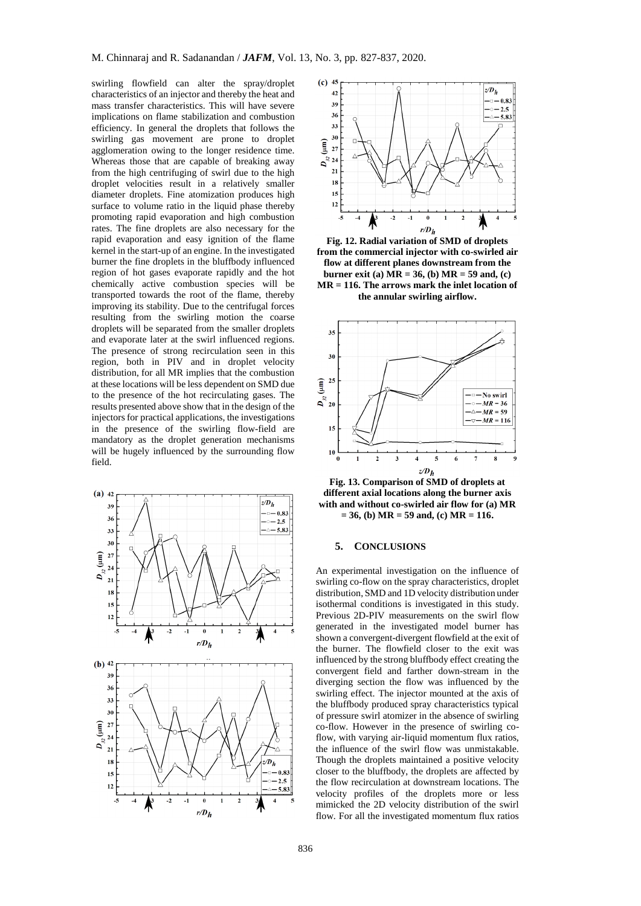swirling flowfield can alter the spray/droplet characteristics of an injector and thereby the heat and mass transfer characteristics. This will have severe implications on flame stabilization and combustion efficiency. In general the droplets that follows the swirling gas movement are prone to droplet agglomeration owing to the longer residence time. Whereas those that are capable of breaking away from the high centrifuging of swirl due to the high droplet velocities result in a relatively smaller diameter droplets. Fine atomization produces high surface to volume ratio in the liquid phase thereby promoting rapid evaporation and high combustion rates. The fine droplets are also necessary for the rapid evaporation and easy ignition of the flame kernel in the start-up of an engine. In the investigated burner the fine droplets in the bluffbody influenced region of hot gases evaporate rapidly and the hot chemically active combustion species will be transported towards the root of the flame, thereby improving its stability. Due to the centrifugal forces resulting from the swirling motion the coarse droplets will be separated from the smaller droplets and evaporate later at the swirl influenced regions. The presence of strong recirculation seen in this region, both in PIV and in droplet velocity distribution, for all MR implies that the combustion at these locations will be less dependent on SMD due to the presence of the hot recirculating gases. The results presented above show that in the design of the injectors for practical applications, the investigations in the presence of the swirling flow-field are mandatory as the droplet generation mechanisms will be hugely influenced by the surrounding flow field.





**Fig. 12. Radial variation of SMD of droplets from the commercial injector with co-swirled air flow at different planes downstream from the burner exit (a) MR = 36, (b) MR = 59 and, (c) MR = 116. The arrows mark the inlet location of the annular swirling airflow.**



**Fig. 13. Comparison of SMD of droplets at different axial locations along the burner axis with and without co-swirled air flow for (a) MR = 36, (b) MR = 59 and, (c) MR = 116.**

## **5. CONCLUSIONS**

An experimental investigation on the influence of swirling co-flow on the spray characteristics, droplet distribution, SMD and 1D velocity distribution under isothermal conditions is investigated in this study. Previous 2D-PIV measurements on the swirl flow generated in the investigated model burner has shown a convergent-divergent flowfield at the exit of the burner. The flowfield closer to the exit was influenced by the strong bluffbody effect creating the convergent field and farther down-stream in the diverging section the flow was influenced by the swirling effect. The injector mounted at the axis of the bluffbody produced spray characteristics typical of pressure swirl atomizer in the absence of swirling co-flow. However in the presence of swirling coflow, with varying air-liquid momentum flux ratios, the influence of the swirl flow was unmistakable. Though the droplets maintained a positive velocity closer to the bluffbody, the droplets are affected by the flow recirculation at downstream locations. The velocity profiles of the droplets more or less mimicked the 2D velocity distribution of the swirl flow. For all the investigated momentum flux ratios